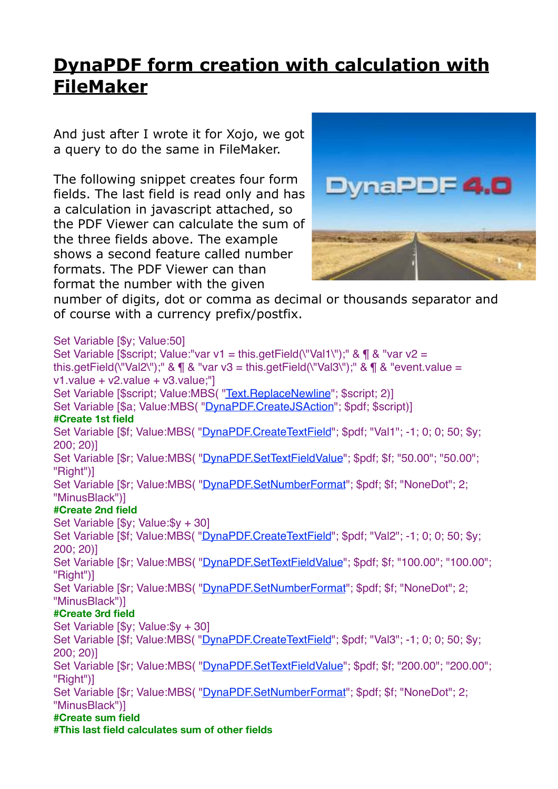## **[DynaPDF form creation with calculation with](http://www.mbs-plugins.com/archive/2016-08-24/Tip_of_the_day_DynaPDF_form_cr/monkeybreadsoftware_blog_filemaker)  FileMaker**

And just after I wrote it for Xojo, we got a query to do the same in FileMaker.

The following snippet creates four form fields. The last field is read only and has a calculation in javascript attached, so the PDF Viewer can calculate the sum of the three fields above. The example shows a second feature called number formats. The PDF Viewer can than format the number with the given



number of digits, dot or comma as decimal or thousands separator and of course with a currency prefix/postfix.

Set Variable [\$v; Value:50] Set Variable [\$script: Value:"var v1 = this.getField(\"Val1\");" &  $\P$  & "var v2 = this.getField(\"Val2\");" &  $\P$  & "var v3 = this.getField(\"Val3\");" &  $\P$  & "event.value = v1.value + v2.value + v3.value;"] Set Variable [\$script; Value:MBS( "[Text.ReplaceNewline"](http://www.mbsplugins.eu/TextReplaceNewline.shtml); \$script; 2)] Set Variable [\$a; Value:MBS( "[DynaPDF.CreateJSAction](http://www.mbsplugins.eu/DynaPDFCreateJSAction.shtml)"; \$pdf; \$script)] **#Create 1st field** Set Variable [\$f; Value:MBS( ["DynaPDF.CreateTextField](http://www.mbsplugins.eu/DynaPDFCreateTextField.shtml)"; \$pdf; "Val1"; -1; 0; 0; 50; \$y; 200; 20)] Set Variable [\$r; Value:MBS( ["DynaPDF.SetTextFieldValue](http://www.mbsplugins.eu/DynaPDFSetTextFieldValue.shtml)"; \$pdf; \$f; "50.00"; "50.00"; "Right")] Set Variable [\$r; Value:MBS(["DynaPDF.SetNumberFormat"](http://www.mbsplugins.eu/DynaPDFSetNumberFormat.shtml); \$pdf; \$f; "NoneDot"; 2; "MinusBlack")] **#Create 2nd field** Set Variable [\$y; Value:\$y + 30] Set Variable [\$f; Value:MBS( ["DynaPDF.CreateTextField](http://www.mbsplugins.eu/DynaPDFCreateTextField.shtml)"; \$pdf; "Val2"; -1; 0; 0; 50; \$y; 200; 20)] Set Variable [\$r; Value:MBS( ["DynaPDF.SetTextFieldValue](http://www.mbsplugins.eu/DynaPDFSetTextFieldValue.shtml)"; \$pdf; \$f; "100.00"; "100.00"; "Right")] Set Variable [\$r; Value:MBS(["DynaPDF.SetNumberFormat"](http://www.mbsplugins.eu/DynaPDFSetNumberFormat.shtml); \$pdf; \$f; "NoneDot"; 2; "MinusBlack")] **#Create 3rd field** Set Variable [\$y; Value:\$y + 30] Set Variable [\$f; Value:MBS( ["DynaPDF.CreateTextField](http://www.mbsplugins.eu/DynaPDFCreateTextField.shtml)"; \$pdf; "Val3"; -1; 0; 0; 50; \$y; 200; 20)] Set Variable [\$r; Value:MBS(["DynaPDF.SetTextFieldValue](http://www.mbsplugins.eu/DynaPDFSetTextFieldValue.shtml)"; \$pdf; \$f; "200.00"; "200.00"; "Right")] Set Variable [\$r; Value:MBS( ["DynaPDF.SetNumberFormat"](http://www.mbsplugins.eu/DynaPDFSetNumberFormat.shtml); \$pdf; \$f; "NoneDot"; 2; "MinusBlack")] **#Create sum field #This last field calculates sum of other fields**